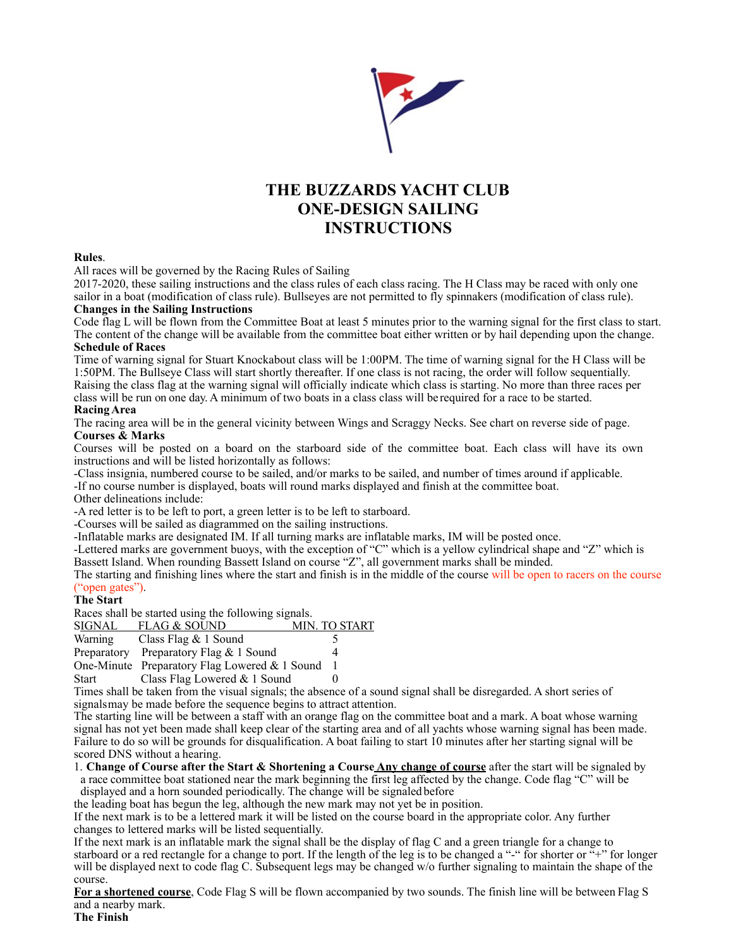

# **THE BUZZARDS YACHT CLUB ONE-DESIGN SAILING INSTRUCTIONS**

### **Rules**.

All races will be governed by the Racing Rules of Sailing

2017-2020, these sailing instructions and the class rules of each class racing. The H Class may be raced with only one sailor in a boat (modification of class rule). Bullseyes are not permitted to fly spinnakers (modification of class rule).

# **Changes in the Sailing Instructions**

Code flag L will be flown from the Committee Boat at least 5 minutes prior to the warning signal for the first class to start. The content of the change will be available from the committee boat either written or by hail depending upon the change. **Schedule of Races**

Time of warning signal for Stuart Knockabout class will be 1:00PM. The time of warning signal for the H Class will be 1:50PM. The Bullseye Class will start shortly thereafter. If one class is not racing, the order will follow sequentially. Raising the class flag at the warning signal will officially indicate which class is starting. No more than three races per

# class will be run on one day. A minimum of two boats in a class class will be required for a race to be started.

### **RacingArea**

The racing area will be in the general vicinity between Wings and Scraggy Necks. See chart on reverse side of page. **Courses & Marks**

Courses will be posted on a board on the starboard side of the committee boat. Each class will have its own instructions and will be listed horizontally as follows:

-Class insignia, numbered course to be sailed, and/or marks to be sailed, and number of times around if applicable.

-If no course number is displayed, boats will round marks displayed and finish at the committee boat.

Other delineations include:

-A red letter is to be left to port, a green letter is to be left to starboard.

-Courses will be sailed as diagrammed on the sailing instructions.

-Inflatable marks are designated IM. If all turning marks are inflatable marks, IM will be posted once.

-Lettered marks are government buoys, with the exception of "C" which is a yellow cylindrical shape and "Z" which is Bassett Island. When rounding Bassett Island on course "Z", all government marks shall be minded.

The starting and finishing lines where the start and finish is in the middle of the course will be open to racers on the course ("open gates").

# **The Start**

Races shall be started using the following signals.

| <b>SIGNAL</b>  | FLAG & SOUND                                    | MIN. TO START |
|----------------|-------------------------------------------------|---------------|
| <b>Warning</b> | Class Flag $& 1$ Sound                          |               |
|                | Preparatory Preparatory Flag & 1 Sound          |               |
|                | One-Minute Preparatory Flag Lowered $& 1$ Sound |               |
| <b>Start</b>   | Class Flag Lowered & 1 Sound                    |               |

Times shall be taken from the visual signals; the absence of a sound signal shall be disregarded. A short series of signalsmay be made before the sequence begins to attract attention.

The starting line will be between a staff with an orange flag on the committee boat and a mark. A boat whose warning signal has not yet been made shall keep clear of the starting area and of all yachts whose warning signal has been made. Failure to do so will be grounds for disqualification. A boat failing to start 10 minutes after her starting signal will be scored DNS without a hearing.

1. **Change of Course after the Start & Shortening a Course Any change of course** after the start will be signaled by a race committee boat stationed near the mark beginning the first leg affected by the change. Code flag "C" will be displayed and a horn sounded periodically. The change will be signaled before

the leading boat has begun the leg, although the new mark may not yet be in position.

If the next mark is to be a lettered mark it will be listed on the course board in the appropriate color. Any further changes to lettered marks will be listed sequentially.

If the next mark is an inflatable mark the signal shall be the display of flag C and a green triangle for a change to starboard or a red rectangle for a change to port. If the length of the leg is to be changed a "-" for shorter or  $\mathbb{F}^+$ " for longer will be displayed next to code flag C. Subsequent legs may be changed w/o further signaling to maintain the shape of the course.

**For a shortened course**, Code Flag S will be flown accompanied by two sounds. The finish line will be between Flag S and a nearby mark.

**The Finish**